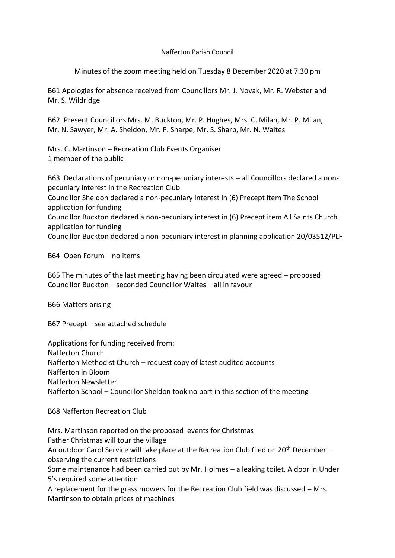## Nafferton Parish Council

Minutes of the zoom meeting held on Tuesday 8 December 2020 at 7.30 pm

B61 Apologies for absence received from Councillors Mr. J. Novak, Mr. R. Webster and Mr. S. Wildridge

B62 Present Councillors Mrs. M. Buckton, Mr. P. Hughes, Mrs. C. Milan, Mr. P. Milan, Mr. N. Sawyer, Mr. A. Sheldon, Mr. P. Sharpe, Mr. S. Sharp, Mr. N. Waites

Mrs. C. Martinson – Recreation Club Events Organiser 1 member of the public

B63 Declarations of pecuniary or non-pecuniary interests – all Councillors declared a nonpecuniary interest in the Recreation Club Councillor Sheldon declared a non-pecuniary interest in (6) Precept item The School application for funding Councillor Buckton declared a non-pecuniary interest in (6) Precept item All Saints Church application for funding

Councillor Buckton declared a non-pecuniary interest in planning application 20/03512/PLF

B64 Open Forum – no items

B65 The minutes of the last meeting having been circulated were agreed – proposed Councillor Buckton – seconded Councillor Waites – all in favour

B66 Matters arising

B67 Precept – see attached schedule

Applications for funding received from: Nafferton Church Nafferton Methodist Church – request copy of latest audited accounts Nafferton in Bloom Nafferton Newsletter Nafferton School – Councillor Sheldon took no part in this section of the meeting

B68 Nafferton Recreation Club

Mrs. Martinson reported on the proposed events for Christmas Father Christmas will tour the village An outdoor Carol Service will take place at the Recreation Club filed on 20<sup>th</sup> December – observing the current restrictions Some maintenance had been carried out by Mr. Holmes – a leaking toilet. A door in Under 5's required some attention A replacement for the grass mowers for the Recreation Club field was discussed – Mrs. Martinson to obtain prices of machines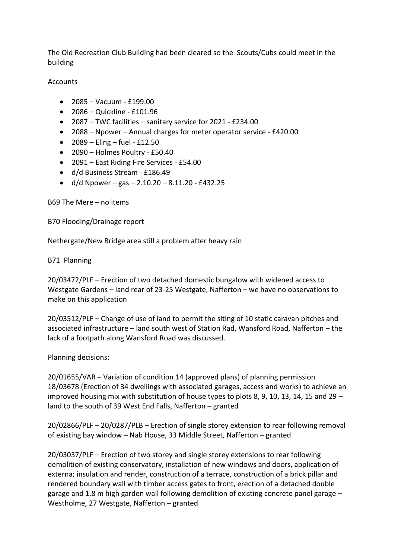The Old Recreation Club Building had been cleared so the Scouts/Cubs could meet in the building

**Accounts** 

- 2085 Vacuum £199.00
- 2086 Quickline £101.96
- 2087 TWC facilities sanitary service for 2021 £234.00
- 2088 Npower Annual charges for meter operator service £420.00
- $2089 -$  Eling fuel £12.50
- 2090 Holmes Poultry £50.40
- 2091 East Riding Fire Services £54.00
- d/d Business Stream £186.49
- $d/d$  Npower gas 2.10.20 8.11.20 £432.25

B69 The Mere – no items

B70 Flooding/Drainage report

Nethergate/New Bridge area still a problem after heavy rain

B71 Planning

20/03472/PLF – Erection of two detached domestic bungalow with widened access to Westgate Gardens – land rear of 23-25 Westgate, Nafferton – we have no observations to make on this application

20/03512/PLF – Change of use of land to permit the siting of 10 static caravan pitches and associated infrastructure – land south west of Station Rad, Wansford Road, Nafferton – the lack of a footpath along Wansford Road was discussed.

Planning decisions:

20/01655/VAR – Variation of condition 14 (approved plans) of planning permission 18/03678 (Erection of 34 dwellings with associated garages, access and works) to achieve an improved housing mix with substitution of house types to plots 8, 9, 10, 13, 14, 15 and 29 – land to the south of 39 West End Falls, Nafferton – granted

20/02866/PLF – 20/0287/PLB – Erection of single storey extension to rear following removal of existing bay window – Nab House, 33 Middle Street, Nafferton – granted

20/03037/PLF – Erection of two storey and single storey extensions to rear following demolition of existing conservatory, installation of new windows and doors, application of externa; insulation and render, construction of a terrace, construction of a brick pillar and rendered boundary wall with timber access gates to front, erection of a detached double garage and 1.8 m high garden wall following demolition of existing concrete panel garage – Westholme, 27 Westgate, Nafferton – granted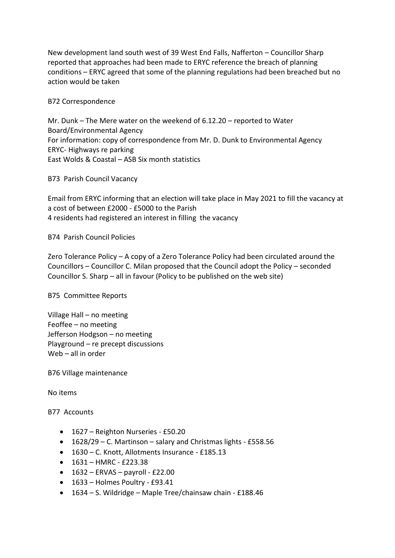New development land south west of 39 West End Falls, Nafferton – Councillor Sharp reported that approaches had been made to ERYC reference the breach of planning conditions – ERYC agreed that some of the planning regulations had been breached but no action would be taken

B72 Correspondence

Mr. Dunk – The Mere water on the weekend of 6.12.20 – reported to Water Board/Environmental Agency For information: copy of correspondence from Mr. D. Dunk to Environmental Agency ERYC- Highways re parking East Wolds & Coastal – ASB Six month statistics

B73 Parish Council Vacancy

Email from ERYC informing that an election will take place in May 2021 to fill the vacancy at a cost of between £2000 - £5000 to the Parish 4 residents had registered an interest in filling the vacancy

B74 Parish Council Policies

Zero Tolerance Policy – A copy of a Zero Tolerance Policy had been circulated around the Councillors – Councillor C. Milan proposed that the Council adopt the Policy – seconded Councillor S. Sharp – all in favour (Policy to be published on the web site)

B75 Committee Reports

Village Hall – no meeting Feoffee – no meeting Jefferson Hodgson – no meeting Playground – re precept discussions Web – all in order

B76 Village maintenance

No items

B77 Accounts

- 1627 Reighton Nurseries £50.20
- 1628/29 C. Martinson salary and Christmas lights £558.56
- 1630 C. Knott, Allotments Insurance £185.13
- $1631 HMRC 223.38$
- $\bullet$  1632 ERVAS payroll £22.00
- 1633 Holmes Poultry £93.41
- 1634 S. Wildridge Maple Tree/chainsaw chain £188.46